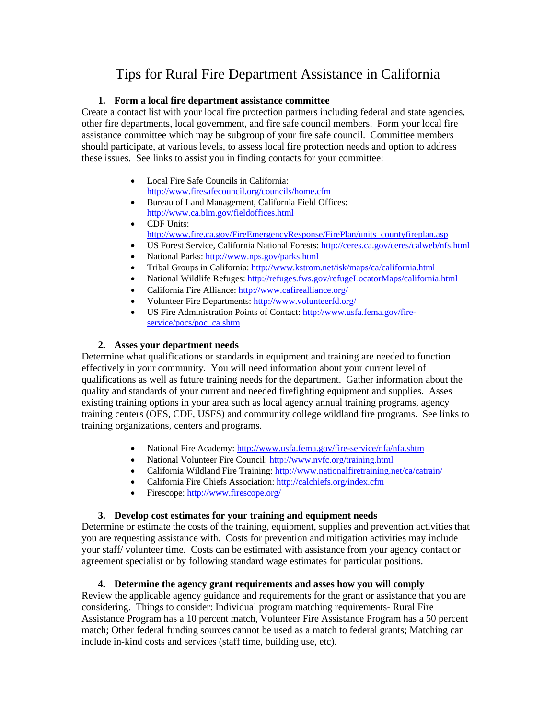# Tips for Rural Fire Department Assistance in California

### **1. Form a local fire department assistance committee**

Create a contact list with your local fire protection partners including federal and state agencies, other fire departments, local government, and fire safe council members. Form your local fire assistance committee which may be subgroup of your fire safe council. Committee members should participate, at various levels, to assess local fire protection needs and option to address these issues. See links to assist you in finding contacts for your committee:

- Local Fire Safe Councils in California: <http://www.firesafecouncil.org/councils/home.cfm>
- Bureau of Land Management, California Field Offices: <http://www.ca.blm.gov/fieldoffices.html>
- CDF Units: [http://www.fire.ca.gov/FireEmergencyResponse/FirePlan/units\\_countyfireplan.asp](http://www.fire.ca.gov/FireEmergencyResponse/FirePlan/units_countyfireplan.asp)
- US Forest Service, California National Forests: <http://ceres.ca.gov/ceres/calweb/nfs.html>
- National Parks:<http://www.nps.gov/parks.html>
- Tribal Groups in California: <http://www.kstrom.net/isk/maps/ca/california.html>
- National Wildlife Refuges: <http://refuges.fws.gov/refugeLocatorMaps/california.html>
- California Fire Alliance: <http://www.cafirealliance.org/>
- Volunteer Fire Departments:<http://www.volunteerfd.org/>
- US Fire Administration Points of Contact: [http://www.usfa.fema.gov/fire](http://www.usfa.fema.gov/fire-service/pocs/poc_ca.shtm)[service/pocs/poc\\_ca.shtm](http://www.usfa.fema.gov/fire-service/pocs/poc_ca.shtm)

### **2. Asses your department needs**

Determine what qualifications or standards in equipment and training are needed to function effectively in your community. You will need information about your current level of qualifications as well as future training needs for the department. Gather information about the quality and standards of your current and needed firefighting equipment and supplies. Asses existing training options in your area such as local agency annual training programs, agency training centers (OES, CDF, USFS) and community college wildland fire programs. See links to training organizations, centers and programs.

- National Fire Academy:<http://www.usfa.fema.gov/fire-service/nfa/nfa.shtm>
- National Volunteer Fire Council: <http://www.nvfc.org/training.html>
- California Wildland Fire Training:<http://www.nationalfiretraining.net/ca/catrain/>
- California Fire Chiefs Association: <http://calchiefs.org/index.cfm>
- Firescope:<http://www.firescope.org/>

# **3. Develop cost estimates for your training and equipment needs**

Determine or estimate the costs of the training, equipment, supplies and prevention activities that you are requesting assistance with. Costs for prevention and mitigation activities may include your staff/ volunteer time. Costs can be estimated with assistance from your agency contact or agreement specialist or by following standard wage estimates for particular positions.

# **4. Determine the agency grant requirements and asses how you will comply**

Review the applicable agency guidance and requirements for the grant or assistance that you are considering. Things to consider: Individual program matching requirements- Rural Fire Assistance Program has a 10 percent match, Volunteer Fire Assistance Program has a 50 percent match; Other federal funding sources cannot be used as a match to federal grants; Matching can include in-kind costs and services (staff time, building use, etc).